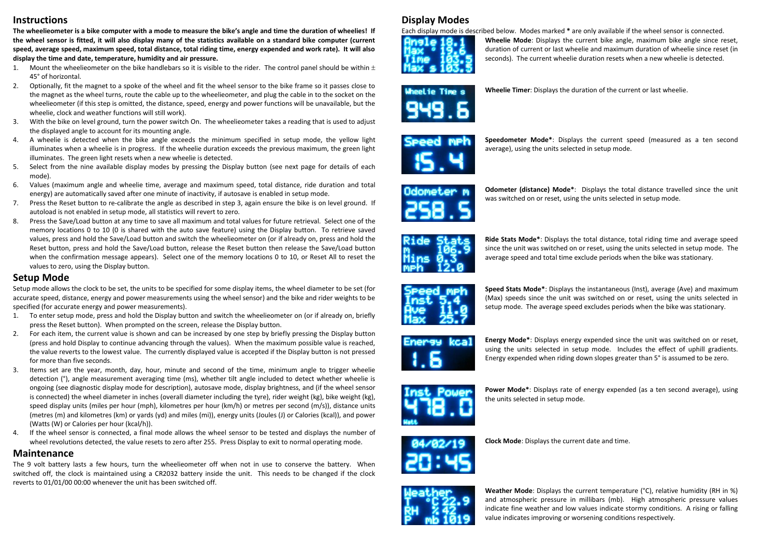#### **Instructions**

**The wheelieometer is a bike computer with a mode to measure the bike's angle and time the duration of wheelies! If the wheel sensor is fitted, it will also display many of the statistics available on a standard bike computer (current speed, average speed, maximum speed, total distance, total riding time, energy expended and work rate). It will also display the time and date, temperature, humidity and air pressure.**

- 1. Mount the wheelieometer on the bike handlebars so it is visible to the rider. The control panel should be within  $+$ 45° of horizontal.
- 2. Optionally, fit the magnet to a spoke of the wheel and fit the wheel sensor to the bike frame so it passes close to the magnet as the wheel turns, route the cable up to the wheelieometer, and plug the cable in to the socket on the wheelieometer (if this step is omitted, the distance, speed, energy and power functions will be unavailable, but the wheelie, clock and weather functions will still work).
- 3. With the bike on level ground, turn the power switch On. The wheelieometer takes a reading that is used to adjust the displayed angle to account for its mounting angle.
- 4. A wheelie is detected when the bike angle exceeds the minimum specified in setup mode, the yellow light illuminates when a wheelie is in progress. If the wheelie duration exceeds the previous maximum, the green light illuminates. The green light resets when a new wheelie is detected.
- 5. Select from the nine available display modes by pressing the Display button (see next page for details of each mode).
- 6. Values (maximum angle and wheelie time, average and maximum speed, total distance, ride duration and total energy) are automatically saved after one minute of inactivity, if autosave is enabled in setup mode.
- 7. Press the Reset button to re-calibrate the angle as described in step 3, again ensure the bike is on level ground. If autoload is not enabled in setup mode, all statistics will revert to zero.
- 8. Press the Save/Load button at any time to save all maximum and total values for future retrieval. Select one of the memory locations 0 to 10 (0 is shared with the auto save feature) using the Display button. To retrieve saved values, press and hold the Save/Load button and switch the wheelieometer on (or if already on, press and hold the Reset button, press and hold the Save/Load button, release the Reset button then release the Save/Load button when the confirmation message appears). Select one of the memory locations 0 to 10, or Reset All to reset the values to zero, using the Display button.

### **Setup Mode**

Setup mode allows the clock to be set, the units to be specified for some display items, the wheel diameter to be set (for accurate speed, distance, energy and power measurements using the wheel sensor) and the bike and rider weights to be specified (for accurate energy and power measurements).

- 1. To enter setup mode, press and hold the Display button and switch the wheelieometer on (or if already on, briefly press the Reset button). When prompted on the screen, release the Display button.
- 2. For each item, the current value is shown and can be increased by one step by briefly pressing the Display button (press and hold Display to continue advancing through the values). When the maximum possible value is reached, the value reverts to the lowest value. The currently displayed value is accepted if the Display button is not pressed for more than five seconds.
- 3. Items set are the year, month, day, hour, minute and second of the time, minimum angle to trigger wheelie detection (°), angle measurement averaging time (ms), whether tilt angle included to detect whether wheelie is ongoing (see diagnostic display mode for description), autosave mode, display brightness, and (if the wheel sensor is connected) the wheel diameter in inches (overall diameter including the tyre), rider weight (kg), bike weight (kg), speed display units (miles per hour (mph), kilometres per hour (km/h) or metres per second (m/s)), distance units (metres (m) and kilometres (km) or yards (yd) and miles (mi)), energy units (Joules (J) or Calories (kcal)), and power (Watts (W) or Calories per hour (kcal/h)).
- 4. If the wheel sensor is connected, a final mode allows the wheel sensor to be tested and displays the number of wheel revolutions detected, the value resets to zero after 255. Press Display to exit to normal operating mode.

#### **Maintenance**

The 9 volt battery lasts a few hours, turn the wheelieometer off when not in use to conserve the battery. When switched off, the clock is maintained using a CR2032 battery inside the unit. This needs to be changed if the clock reverts to 01/01/00 00:00 whenever the unit has been switched off.

# **Display Modes**

Each display mode is described below. Modes marked **\*** are only available if the wheel sensor is connected.



**Wheelie Mode**: Displays the current bike angle, maximum bike angle since reset, duration of current or last wheelie and maximum duration of wheelie since reset (in seconds). The current wheelie duration resets when a new wheelie is detected.



**Wheelie Timer**: Displays the duration of the current or last wheelie.



**Speedometer Mode\***: Displays the current speed (measured as a ten second average), using the units selected in setup mode.



**Odometer (distance) Mode\***: Displays the total distance travelled since the unit was switched on or reset, using the units selected in setup mode.



**Ride Stats Mode\***: Displays the total distance, total riding time and average speed since the unit was switched on or reset, using the units selected in setup mode. The average speed and total time exclude periods when the bike was stationary.



**Speed Stats Mode\***: Displays the instantaneous (Inst), average (Ave) and maximum (Max) speeds since the unit was switched on or reset, using the units selected in setup mode. The average speed excludes periods when the bike was stationary.



**Energy Mode\***: Displays energy expended since the unit was switched on or reset, using the units selected in setup mode. Includes the effect of uphill gradients. Energy expended when riding down slopes greater than 5° is assumed to be zero.



**Power Mode\***: Displays rate of energy expended (as a ten second average), using the units selected in setup mode.



**Clock Mode**: Displays the current date and time.



**Weather Mode**: Displays the current temperature (°C), relative humidity (RH in %) and atmospheric pressure in millibars (mb). High atmospheric pressure values indicate fine weather and low values indicate stormy conditions. A rising or falling value indicates improving or worsening conditions respectively.